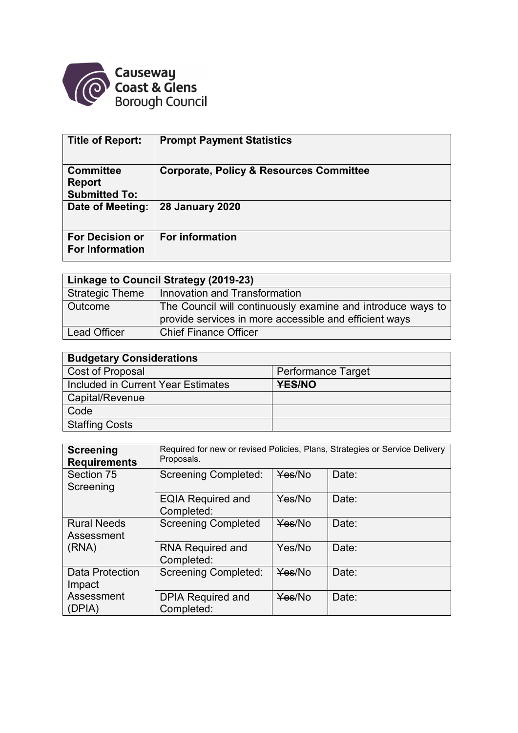

| <b>Title of Report:</b>                                   | <b>Prompt Payment Statistics</b>                   |
|-----------------------------------------------------------|----------------------------------------------------|
| <b>Committee</b><br><b>Report</b><br><b>Submitted To:</b> | <b>Corporate, Policy &amp; Resources Committee</b> |
| Date of Meeting:                                          | <b>28 January 2020</b>                             |
| <b>For Decision or</b><br><b>For Information</b>          | <b>For information</b>                             |

| Linkage to Council Strategy (2019-23) |                                                                                                                       |  |  |  |  |  |
|---------------------------------------|-----------------------------------------------------------------------------------------------------------------------|--|--|--|--|--|
| <b>Strategic Theme</b>                | Innovation and Transformation                                                                                         |  |  |  |  |  |
| Outcome                               | The Council will continuously examine and introduce ways to<br>provide services in more accessible and efficient ways |  |  |  |  |  |
| Lead Officer                          | <b>Chief Finance Officer</b>                                                                                          |  |  |  |  |  |

| <b>Budgetary Considerations</b>    |                           |  |  |  |  |  |
|------------------------------------|---------------------------|--|--|--|--|--|
| Cost of Proposal                   | <b>Performance Target</b> |  |  |  |  |  |
| Included in Current Year Estimates | <b>YES/NO</b>             |  |  |  |  |  |
| <b>Capital/Revenue</b>             |                           |  |  |  |  |  |
| Code                               |                           |  |  |  |  |  |
| Staffing Costs                     |                           |  |  |  |  |  |

| <b>Screening</b><br><b>Requirements</b> | Required for new or revised Policies, Plans, Strategies or Service Delivery<br>Proposals. |        |       |  |  |  |  |  |
|-----------------------------------------|-------------------------------------------------------------------------------------------|--------|-------|--|--|--|--|--|
| Section 75<br>Screening                 | <b>Screening Completed:</b>                                                               | Yes/No | Date: |  |  |  |  |  |
|                                         | <b>EQIA Required and</b><br>Completed:                                                    | Yes/No | Date: |  |  |  |  |  |
| <b>Rural Needs</b><br>Assessment        | <b>Screening Completed</b>                                                                | Yes/No | Date: |  |  |  |  |  |
| (RNA)                                   | <b>RNA Required and</b><br>Completed:                                                     | Yes/No | Date: |  |  |  |  |  |
| <b>Data Protection</b><br>Impact        | <b>Screening Completed:</b>                                                               | Yes/No | Date: |  |  |  |  |  |
| Assessment<br>(DPIA)                    | <b>DPIA Required and</b><br>Completed:                                                    | Yes/No | Date: |  |  |  |  |  |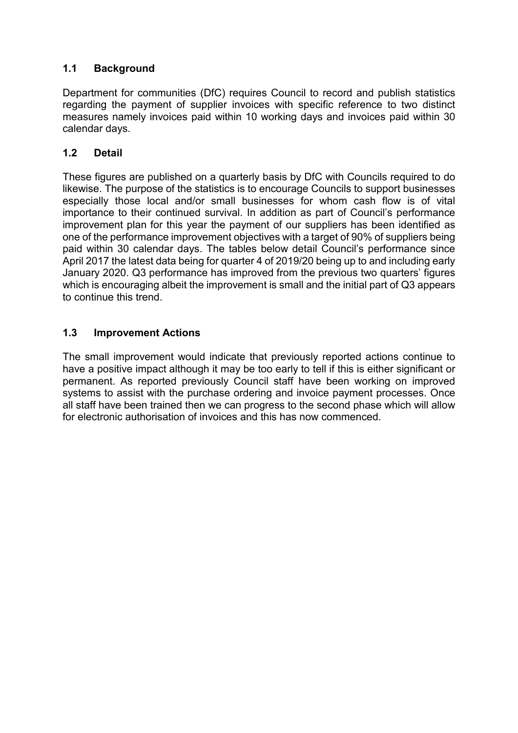## **1.1 Background**

Department for communities (DfC) requires Council to record and publish statistics regarding the payment of supplier invoices with specific reference to two distinct measures namely invoices paid within 10 working days and invoices paid within 30 calendar days.

## **1.2 Detail**

These figures are published on a quarterly basis by DfC with Councils required to do likewise. The purpose of the statistics is to encourage Councils to support businesses especially those local and/or small businesses for whom cash flow is of vital importance to their continued survival. In addition as part of Council's performance improvement plan for this year the payment of our suppliers has been identified as one of the performance improvement objectives with a target of 90% of suppliers being paid within 30 calendar days. The tables below detail Council's performance since April 2017 the latest data being for quarter 4 of 2019/20 being up to and including early January 2020. Q3 performance has improved from the previous two quarters' figures which is encouraging albeit the improvement is small and the initial part of Q3 appears to continue this trend.

## **1.3 Improvement Actions**

The small improvement would indicate that previously reported actions continue to have a positive impact although it may be too early to tell if this is either significant or permanent. As reported previously Council staff have been working on improved systems to assist with the purchase ordering and invoice payment processes. Once all staff have been trained then we can progress to the second phase which will allow for electronic authorisation of invoices and this has now commenced.